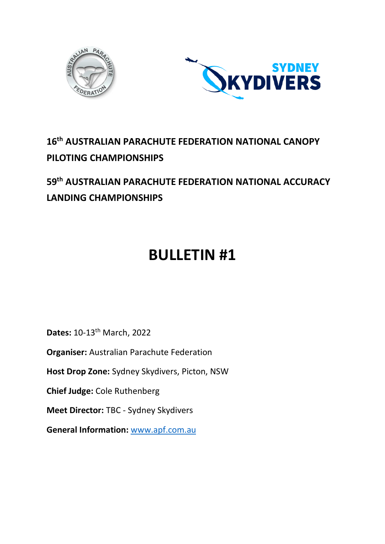



# **16th AUSTRALIAN PARACHUTE FEDERATION NATIONAL CANOPY PILOTING CHAMPIONSHIPS**

# **59th AUSTRALIAN PARACHUTE FEDERATION NATIONAL ACCURACY LANDING CHAMPIONSHIPS**

# **BULLETIN #1**

**Dates:** 10-13th March, 2022

**Organiser:** Australian Parachute Federation

**Host Drop Zone:** Sydney Skydivers, Picton, NSW

**Chief Judge:** Cole Ruthenberg

**Meet Director:** TBC - Sydney Skydivers

**General Information:** [www.apf.com.au](http://www.apf.com.au/)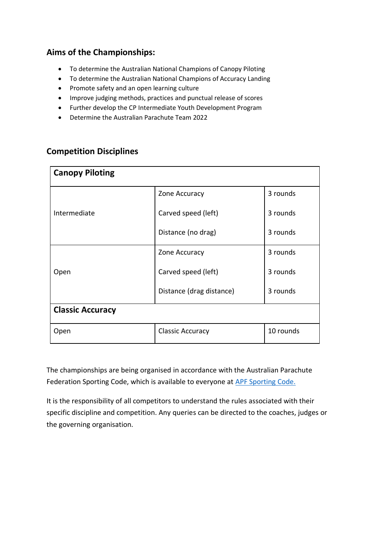# **Aims of the Championships:**

- To determine the Australian National Champions of Canopy Piloting
- To determine the Australian National Champions of Accuracy Landing
- Promote safety and an open learning culture
- Improve judging methods, practices and punctual release of scores
- Further develop the CP Intermediate Youth Development Program
- Determine the Australian Parachute Team 2022

| <b>Canopy Piloting</b>  |                                      |          |  |  |  |
|-------------------------|--------------------------------------|----------|--|--|--|
|                         | Zone Accuracy                        | 3 rounds |  |  |  |
| Intermediate            | Carved speed (left)                  | 3 rounds |  |  |  |
|                         | Distance (no drag)                   | 3 rounds |  |  |  |
|                         | Zone Accuracy                        | 3 rounds |  |  |  |
| Open                    | Carved speed (left)                  | 3 rounds |  |  |  |
|                         | Distance (drag distance)             | 3 rounds |  |  |  |
| <b>Classic Accuracy</b> |                                      |          |  |  |  |
| Open                    | 10 rounds<br><b>Classic Accuracy</b> |          |  |  |  |

### **Competition Disciplines**

The championships are being organised in accordance with the Australian Parachute Federation Sporting Code, which is available to everyone at [APF Sporting Code.](https://www.apf.com.au/ArticleDocuments/1222/Sporting_Code_September_2020.pdf.aspx)

It is the responsibility of all competitors to understand the rules associated with their specific discipline and competition. Any queries can be directed to the coaches, judges or the governing organisation.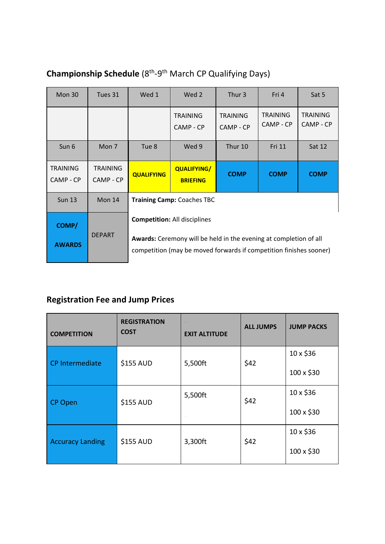| Mon $30$                     | Tues 31                      | Wed 1                                                                                                                                                                                 | Wed 2                                 | Thur 3                | Fri 4                        | Sat 5                        |
|------------------------------|------------------------------|---------------------------------------------------------------------------------------------------------------------------------------------------------------------------------------|---------------------------------------|-----------------------|------------------------------|------------------------------|
|                              |                              |                                                                                                                                                                                       | <b>TRAINING</b><br>CAMP - CP          | TRAINING<br>CAMP - CP | <b>TRAINING</b><br>CAMP - CP | <b>TRAINING</b><br>CAMP - CP |
| Sun 6                        | Mon <sub>7</sub>             | Tue 8                                                                                                                                                                                 | Wed 9                                 | Thur 10               | <b>Fri 11</b>                | Sat 12                       |
| <b>TRAINING</b><br>CAMP - CP | <b>TRAINING</b><br>CAMP - CP | <b>QUALIFYING</b>                                                                                                                                                                     | <b>QUALIFYING/</b><br><b>BRIEFING</b> | <b>COMP</b>           | <b>COMP</b>                  | <b>COMP</b>                  |
| <b>Sun 13</b>                | Mon 14                       | <b>Training Camp: Coaches TBC</b>                                                                                                                                                     |                                       |                       |                              |                              |
| COMP/<br><b>AWARDS</b>       | <b>DEPART</b>                | <b>Competition: All disciplines</b><br><b>Awards:</b> Ceremony will be held in the evening at completion of all<br>competition (may be moved forwards if competition finishes sooner) |                                       |                       |                              |                              |

# Championship Schedule (8<sup>th</sup>-9<sup>th</sup> March CP Qualifying Days)

# **Registration Fee and Jump Prices**

| <b>COMPETITION</b>      | <b>REGISTRATION</b><br><b>COST</b> | <b>EXIT ALTITUDE</b> | <b>ALL JUMPS</b> | <b>JUMP PACKS</b> |
|-------------------------|------------------------------------|----------------------|------------------|-------------------|
| CP Intermediate         | \$155 AUD                          | 5,500ft              | \$42             | $10 \times $36$   |
|                         |                                    |                      |                  | 100 x \$30        |
| <b>CP Open</b>          | \$155 AUD                          | 5,500ft              | \$42             | 10 x \$36         |
|                         |                                    |                      |                  | 100 x \$30        |
| <b>Accuracy Landing</b> | \$155 AUD                          | 3,300ft              | \$42             | 10 x \$36         |
|                         |                                    |                      |                  | 100 x \$30        |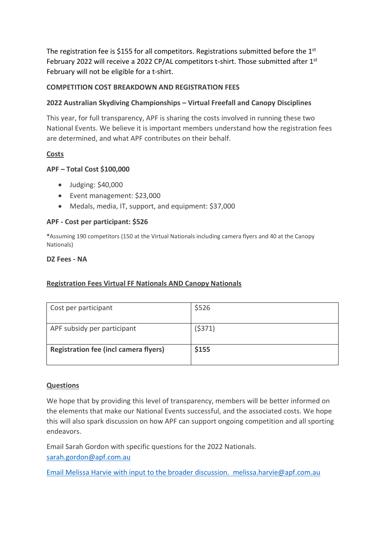The registration fee is \$155 for all competitors. Registrations submitted before the  $1<sup>st</sup>$ February 2022 will receive a 2022 CP/AL competitors t-shirt. Those submitted after 1<sup>st</sup> February will not be eligible for a t-shirt.

#### **COMPETITION COST BREAKDOWN AND REGISTRATION FEES**

#### **2022 Australian Skydiving Championships – Virtual Freefall and Canopy Disciplines**

This year, for full transparency, APF is sharing the costs involved in running these two National Events. We believe it is important members understand how the registration fees are determined, and what APF contributes on their behalf.

#### **Costs**

#### **APF – Total Cost \$100,000**

- Judging: \$40,000
- Event management: \$23,000
- Medals, media, IT, support, and equipment: \$37,000

#### **APF - Cost per participant: \$526**

**\***Assuming 190 competitors (150 at the Virtual Nationals including camera flyers and 40 at the Canopy Nationals)

#### **DZ Fees - NA**

#### **Registration Fees Virtual FF Nationals AND Canopy Nationals**

| Cost per participant                         | \$526  |
|----------------------------------------------|--------|
| APF subsidy per participant                  | (5371) |
| <b>Registration fee (incl camera flyers)</b> | \$155  |

#### **Questions**

We hope that by providing this level of transparency, members will be better informed on the elements that make our National Events successful, and the associated costs. We hope this will also spark discussion on how APF can support ongoing competition and all sporting endeavors.

Email Sarah Gordon with specific questions for the 2022 Nationals. [sarah.gordon@apf.com.au](mailto:sarah.gordon@apf.com.au)

Email Melissa Harvie with input to the broader discussion. [melissa.harvie@apf.com.au](mailto:melissa.harvie@apf.com.au)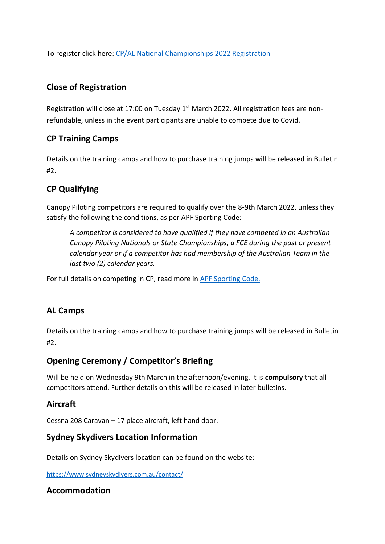To register click here: [CP/AL National Championships 2022 Registration](https://www.apf.com.au/sports-jumping/competition/2022-cp/al-nationals-new/cp-al-nationals-registration-form)

# **Close of Registration**

Registration will close at 17:00 on Tuesday  $1<sup>st</sup>$  March 2022. All registration fees are nonrefundable, unless in the event participants are unable to compete due to Covid.

# **CP Training Camps**

Details on the training camps and how to purchase training jumps will be released in Bulletin #2.

# **CP Qualifying**

Canopy Piloting competitors are required to qualify over the 8-9th March 2022, unless they satisfy the following the conditions, as per APF Sporting Code:

*A competitor is considered to have qualified if they have competed in an Australian Canopy Piloting Nationals or State Championships, a FCE during the past or present calendar year or if a competitor has had membership of the Australian Team in the last two (2) calendar years.* 

For full details on competing in CP, read more in [APF Sporting Code.](https://www.apf.com.au/ArticleDocuments/1222/Sporting_Code_September_2020.pdf.aspx)

# **AL Camps**

Details on the training camps and how to purchase training jumps will be released in Bulletin #2.

# **Opening Ceremony / Competitor's Briefing**

Will be held on Wednesday 9th March in the afternoon/evening. It is **compulsory** that all competitors attend. Further details on this will be released in later bulletins.

## **Aircraft**

Cessna 208 Caravan – 17 place aircraft, left hand door.

## **Sydney Skydivers Location Information**

Details on Sydney Skydivers location can be found on the website:

<https://www.sydneyskydivers.com.au/contact/>

## **Accommodation**